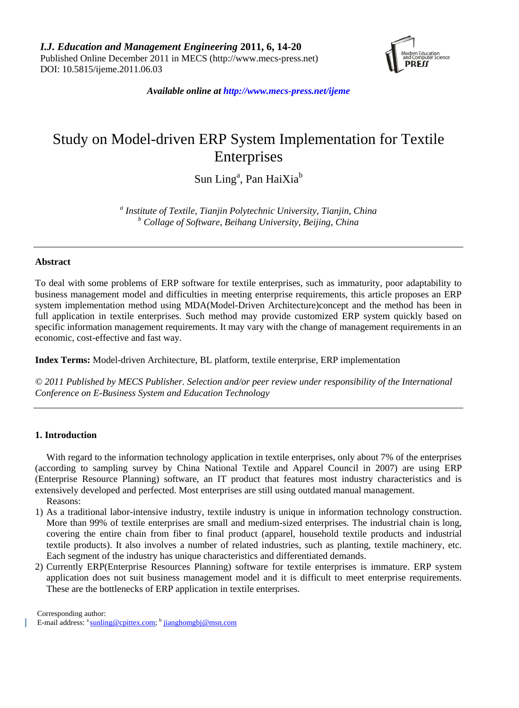

*Available online at http://www.mecs-press.net/ijeme*

# Study on Model-driven ERP System Implementation for Textile **Enterprises**

# Sun Ling<sup>a</sup>, Pan HaiXia<sup>b</sup>

*a Institute of Textile, Tianjin Polytechnic University, Tianjin, China <sup>b</sup> Collage of Software, Beihang University, Beijing, China*

#### **Abstract**

To deal with some problems of ERP software for textile enterprises, such as immaturity, poor adaptability to business management model and difficulties in meeting enterprise requirements, this article proposes an ERP system implementation method using MDA(Model-Driven Architecture)concept and the method has been in full application in textile enterprises. Such method may provide customized ERP system quickly based on specific information management requirements. It may vary with the change of management requirements in an economic, cost-effective and fast way.

**Index Terms:** Model-driven Architecture, BL platform, textile enterprise, ERP implementation

*© 2011 Published by MECS Publisher. Selection and/or peer review under responsibility of the International Conference on E-Business System and Education Technology*

# **1. Introduction**

With regard to the information technology application in textile enterprises, only about 7% of the enterprises (according to sampling survey by China National Textile and Apparel Council in 2007) are using ERP (Enterprise Resource Planning) software, an IT product that features most industry characteristics and is extensively developed and perfected. Most enterprises are still using outdated manual management.

Reasons:

- 1) As a traditional labor-intensive industry, textile industry is unique in information technology construction. More than 99% of textile enterprises are small and medium-sized enterprises. The industrial chain is long, covering the entire chain from fiber to final product (apparel, household textile products and industrial textile products). It also involves a number of related industries, such as planting, textile machinery, etc. Each segment of the industry has unique characteristics and differentiated demands.
- 2) Currently ERP(Enterprise Resources Planning) software for textile enterprises is immature. ERP system application does not suit business management model and it is difficult to meet enterprise requirements. These are the bottlenecks of ERP application in textile enterprises.

Corresponding author:

E-mail address: <sup>a</sup> [sunling@cpittex.com;](mailto:sunling@cpittex.com) <sup>b</sup> [jianghomgbj@msn.com](mailto:jianghomgbj@msn.com)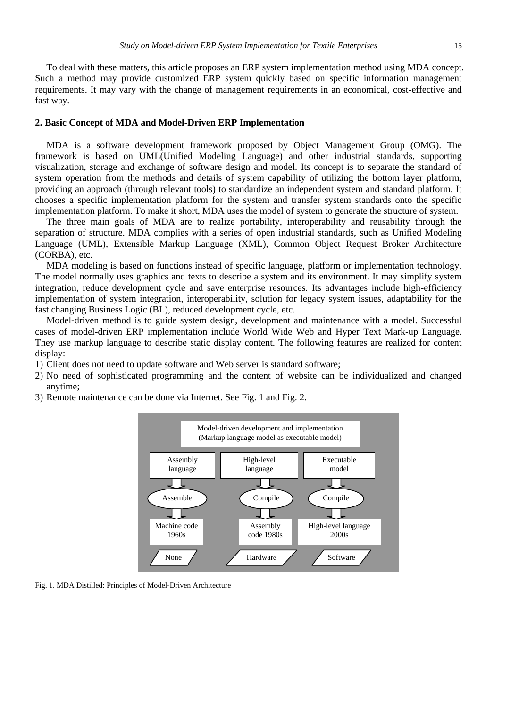To deal with these matters, this article proposes an ERP system implementation method using MDA concept. Such a method may provide customized ERP system quickly based on specific information management requirements. It may vary with the change of management requirements in an economical, cost-effective and fast way.

#### **2. Basic Concept of MDA and Model-Driven ERP Implementation**

MDA is a software development framework proposed by Object Management Group (OMG). The framework is based on UML(Unified Modeling Language) and other industrial standards, supporting visualization, storage and exchange of software design and model. Its concept is to separate the standard of system operation from the methods and details of system capability of utilizing the bottom layer platform, providing an approach (through relevant tools) to standardize an independent system and standard platform. It chooses a specific implementation platform for the system and transfer system standards onto the specific implementation platform. To make it short, MDA uses the model of system to generate the structure of system.

The three main goals of MDA are to realize portability, interoperability and reusability through the separation of structure. MDA complies with a series of open industrial standards, such as Unified Modeling Language (UML), Extensible Markup Language (XML), Common Object Request Broker Architecture (CORBA), etc.

MDA modeling is based on functions instead of specific language, platform or implementation technology. The model normally uses graphics and texts to describe a system and its environment. It may simplify system integration, reduce development cycle and save enterprise resources. Its advantages include high-efficiency implementation of system integration, interoperability, solution for legacy system issues, adaptability for the fast changing Business Logic (BL), reduced development cycle, etc.

Model-driven method is to guide system design, development and maintenance with a model. Successful cases of model-driven ERP implementation include World Wide Web and Hyper Text Mark-up Language. They use markup language to describe static display content. The following features are realized for content display:

- 1) Client does not need to update software and Web server is standard software;
- 2) No need of sophisticated programming and the content of website can be individualized and changed anytime;
- 3) Remote maintenance can be done via Internet. See Fig. 1 and Fig. 2.



Fig. 1. MDA Distilled: Principles of Model-Driven Architecture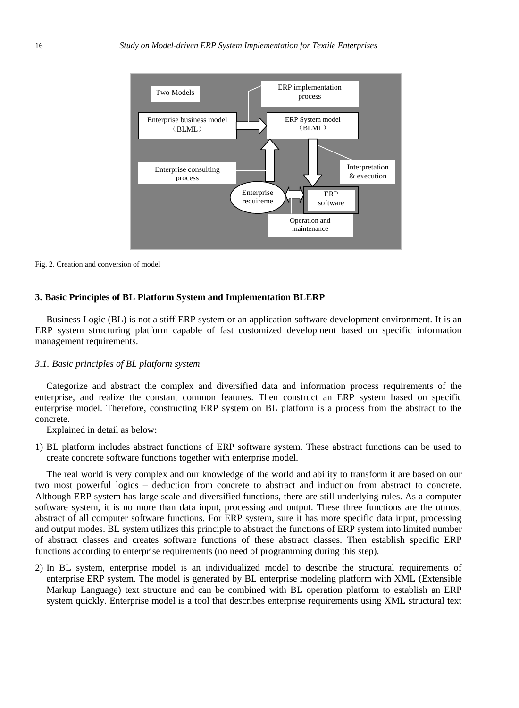

Fig. 2. Creation and conversion of model

#### **3. Basic Principles of BL Platform System and Implementation BLERP**

Business Logic (BL) is not a stiff ERP system or an application software development environment. It is an ERP system structuring platform capable of fast customized development based on specific information management requirements.

#### *3.1. Basic principles of BL platform system*

Categorize and abstract the complex and diversified data and information process requirements of the enterprise, and realize the constant common features. Then construct an ERP system based on specific enterprise model. Therefore, constructing ERP system on BL platform is a process from the abstract to the concrete.

Explained in detail as below:

1) BL platform includes abstract functions of ERP software system. These abstract functions can be used to create concrete software functions together with enterprise model.

The real world is very complex and our knowledge of the world and ability to transform it are based on our two most powerful logics – deduction from concrete to abstract and induction from abstract to concrete. Although ERP system has large scale and diversified functions, there are still underlying rules. As a computer software system, it is no more than data input, processing and output. These three functions are the utmost abstract of all computer software functions. For ERP system, sure it has more specific data input, processing and output modes. BL system utilizes this principle to abstract the functions of ERP system into limited number of abstract classes and creates software functions of these abstract classes. Then establish specific ERP functions according to enterprise requirements (no need of programming during this step).

2) In BL system, enterprise model is an individualized model to describe the structural requirements of enterprise ERP system. The model is generated by BL enterprise modeling platform with XML (Extensible Markup Language) text structure and can be combined with BL operation platform to establish an ERP system quickly. Enterprise model is a tool that describes enterprise requirements using XML structural text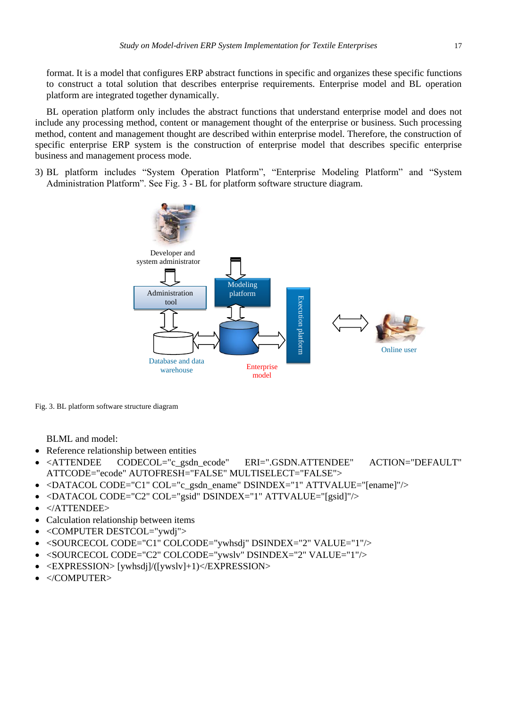format. It is a model that configures ERP abstract functions in specific and organizes these specific functions to construct a total solution that describes enterprise requirements. Enterprise model and BL operation platform are integrated together dynamically.

BL operation platform only includes the abstract functions that understand enterprise model and does not include any processing method, content or management thought of the enterprise or business. Such processing method, content and management thought are described within enterprise model. Therefore, the construction of specific enterprise ERP system is the construction of enterprise model that describes specific enterprise business and management process mode.

3) BL platform includes "System Operation Platform", "Enterprise Modeling Platform" and "System Administration Platform". See Fig. 3 - BL for platform software structure diagram.



Fig. 3. BL platform software structure diagram

BLML and model:

- Reference relationship between entities
- <ATTENDEE CODECOL="c\_gsdn\_ecode" ERI=".GSDN.ATTENDEE" ACTION="DEFAULT" ATTCODE="ecode" AUTOFRESH="FALSE" MULTISELECT="FALSE">
- <DATACOL CODE="C1" COL="c\_gsdn\_ename" DSINDEX="1" ATTVALUE="[ename]"/>
- <DATACOL CODE="C2" COL="gsid" DSINDEX="1" ATTVALUE="[gsid]"/>
- </ATTENDEE>
- Calculation relationship between items
- <COMPUTER DESTCOL="ywdi">
- <SOURCECOL CODE="C1" COLCODE="ywhsdj" DSINDEX="2" VALUE="1"/>
- <SOURCECOL CODE="C2" COLCODE="ywslv" DSINDEX="2" VALUE="1"/>
- <EXPRESSION> [ywhsdj]/([ywslv]+1)</EXPRESSION>
- </COMPUTER>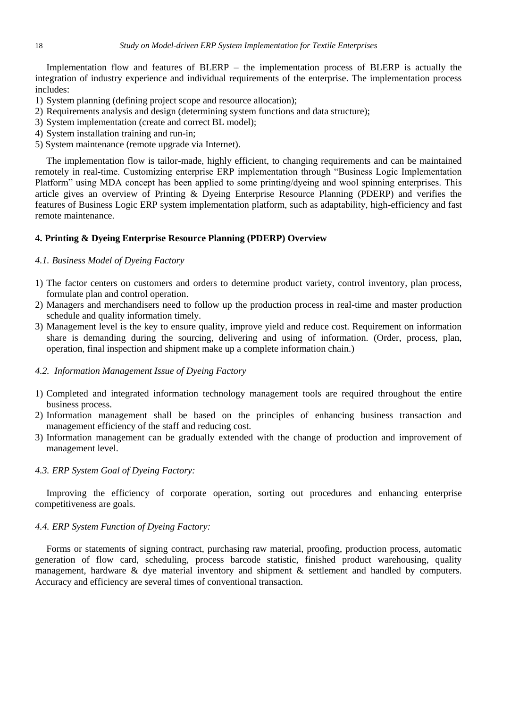Implementation flow and features of BLERP – the implementation process of BLERP is actually the integration of industry experience and individual requirements of the enterprise. The implementation process includes:

- 1) System planning (defining project scope and resource allocation);
- 2) Requirements analysis and design (determining system functions and data structure);
- 3) System implementation (create and correct BL model);
- 4) System installation training and run-in;
- 5) System maintenance (remote upgrade via Internet).

The implementation flow is tailor-made, highly efficient, to changing requirements and can be maintained remotely in real-time. Customizing enterprise ERP implementation through "Business Logic Implementation Platform" using MDA concept has been applied to some printing/dyeing and wool spinning enterprises. This article gives an overview of Printing & Dyeing Enterprise Resource Planning (PDERP) and verifies the features of Business Logic ERP system implementation platform, such as adaptability, high-efficiency and fast remote maintenance.

#### **4. Printing & Dyeing Enterprise Resource Planning (PDERP) Overview**

#### *4.1. Business Model of Dyeing Factory*

- 1) The factor centers on customers and orders to determine product variety, control inventory, plan process, formulate plan and control operation.
- 2) Managers and merchandisers need to follow up the production process in real-time and master production schedule and quality information timely.
- 3) Management level is the key to ensure quality, improve yield and reduce cost. Requirement on information share is demanding during the sourcing, delivering and using of information. (Order, process, plan, operation, final inspection and shipment make up a complete information chain.)

## *4.2. Information Management Issue of Dyeing Factory*

- 1) Completed and integrated information technology management tools are required throughout the entire business process.
- 2) Information management shall be based on the principles of enhancing business transaction and management efficiency of the staff and reducing cost.
- 3) Information management can be gradually extended with the change of production and improvement of management level.

#### *4.3. ERP System Goal of Dyeing Factory:*

Improving the efficiency of corporate operation, sorting out procedures and enhancing enterprise competitiveness are goals.

#### *4.4. ERP System Function of Dyeing Factory:*

Forms or statements of signing contract, purchasing raw material, proofing, production process, automatic generation of flow card, scheduling, process barcode statistic, finished product warehousing, quality management, hardware & dye material inventory and shipment & settlement and handled by computers. Accuracy and efficiency are several times of conventional transaction.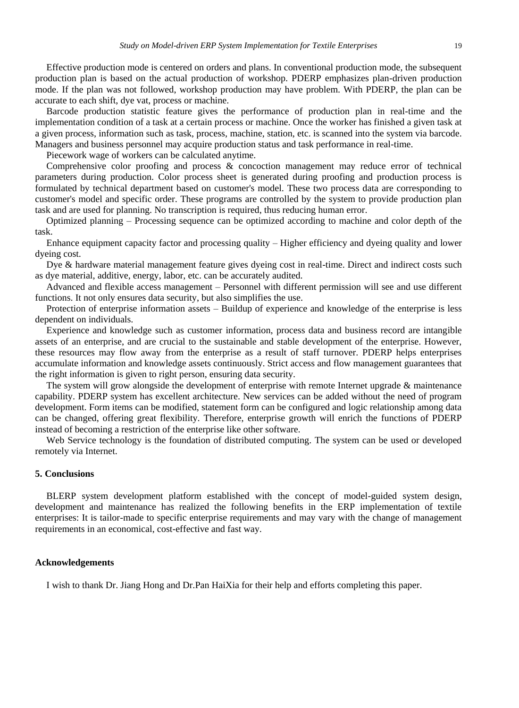Effective production mode is centered on orders and plans. In conventional production mode, the subsequent production plan is based on the actual production of workshop. PDERP emphasizes plan-driven production mode. If the plan was not followed, workshop production may have problem. With PDERP, the plan can be accurate to each shift, dye vat, process or machine.

Barcode production statistic feature gives the performance of production plan in real-time and the implementation condition of a task at a certain process or machine. Once the worker has finished a given task at a given process, information such as task, process, machine, station, etc. is scanned into the system via barcode. Managers and business personnel may acquire production status and task performance in real-time.

Piecework wage of workers can be calculated anytime.

Comprehensive color proofing and process & concoction management may reduce error of technical parameters during production. Color process sheet is generated during proofing and production process is formulated by technical department based on customer's model. These two process data are corresponding to customer's model and specific order. These programs are controlled by the system to provide production plan task and are used for planning. No transcription is required, thus reducing human error.

Optimized planning – Processing sequence can be optimized according to machine and color depth of the task.

Enhance equipment capacity factor and processing quality – Higher efficiency and dyeing quality and lower dyeing cost.

Dye & hardware material management feature gives dyeing cost in real-time. Direct and indirect costs such as dye material, additive, energy, labor, etc. can be accurately audited.

Advanced and flexible access management – Personnel with different permission will see and use different functions. It not only ensures data security, but also simplifies the use.

Protection of enterprise information assets – Buildup of experience and knowledge of the enterprise is less dependent on individuals.

Experience and knowledge such as customer information, process data and business record are intangible assets of an enterprise, and are crucial to the sustainable and stable development of the enterprise. However, these resources may flow away from the enterprise as a result of staff turnover. PDERP helps enterprises accumulate information and knowledge assets continuously. Strict access and flow management guarantees that the right information is given to right person, ensuring data security.

The system will grow alongside the development of enterprise with remote Internet upgrade & maintenance capability. PDERP system has excellent architecture. New services can be added without the need of program development. Form items can be modified, statement form can be configured and logic relationship among data can be changed, offering great flexibility. Therefore, enterprise growth will enrich the functions of PDERP instead of becoming a restriction of the enterprise like other software.

Web Service technology is the foundation of distributed computing. The system can be used or developed remotely via Internet.

# **5. Conclusions**

BLERP system development platform established with the concept of model-guided system design, development and maintenance has realized the following benefits in the ERP implementation of textile enterprises: It is tailor-made to specific enterprise requirements and may vary with the change of management requirements in an economical, cost-effective and fast way.

#### **Acknowledgements**

I wish to thank Dr. Jiang Hong and Dr.Pan HaiXia for their help and efforts completing this paper.